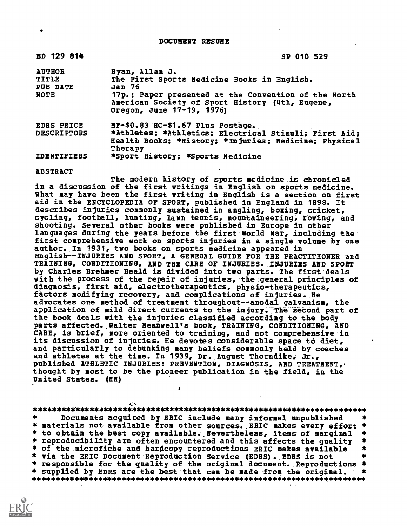DOCUMENT RESUME

| ED 129 814                                        | SP 010 529                                                                                                                                                                                                      |
|---------------------------------------------------|-----------------------------------------------------------------------------------------------------------------------------------------------------------------------------------------------------------------|
| <b>AUTHOR</b><br>TITLE<br>PUB DATE<br><b>NOTE</b> | Ryan, Allan J.<br>The First Sports Medicine Books in English.<br>Jan 76<br>17p.; Paper presented at the Convention of the North<br>American Society of Sport History (4th, Eugene,<br>Oregon, June 17-19, 1976) |
| <b>EDRS PRICE</b><br><b>DESCRIPTORS</b>           | MF-\$0.83 HC-\$1.67 Plus Postage.<br>*Athletes; *Athletics; Electrical Stimuli; First Aid;<br>Health Books; *History; *Injuries; Medicine; Physical                                                             |
| <b>IDENTIFIERS</b>                                | Therapy<br>*Sport History; *Sports Medicine                                                                                                                                                                     |

ABSTRACT

The modern history of sports medicine is chronicled in a discussion of the first writings in English on sports medicine. What may have been the first writing in English is a section on first aid in the ENCYCLOPEDIA OF SPORT, published in England in 1898. It describes injuries commonly sustained in angling, boxing, cricket, cycling, football, hunting, lawn tennis, mountaineering, rowing, and shooting. Several other books were published in Europe in other languages during the years before the first World War, including the first comprehensive work on sports injuries in a single volume by one author. In 1931, two books on sports medicine appeared in English--INJURIES AND SPORT, A GENERAL GUIDE FOR THE PRACTITIONER and TRAINING, CONDITIONING, AND THE C1RE OF INJURIES. INJURIES AND SPORT by Charles Brehmer Heald is divided into two parts. The first deals with the process of the repair of injuries, the general principles of diagnosis, first aid, electrotherapeutics, physio-therapeutics, factors modifying recovery, and complications of injuries. He advocates one method of treatment throughout--anodal galvanism, the application of mild direct currents to the injury. The second part of the book deals with the injuries classified according to the body parts affected. Walter Meanwell's book, TRAINING, CONDITIONING, AND CARE, is brief, more oriented to training, and not comprehensive in its discussion of injuries. He devotes considerable space to diet, and particularly to debunking many beliefs commonly held by coaches and athletes at the time. In 1939, Dr.,August Thorndike, Jr., published ATHLETIC INJURIES: PREVENTION, DIAGNOSIS, AND TREATMENT, thought by most to be the pioneer publication in the field, in the United States. (MM)

\*\*\*\*\*\*\*\*\*\*\*i\*\*\*\*\*\*\*\*34\*\*\*\*\*\*\*\*\*\*\*\*\*\*\*\*\*\*\*\*\*\*\*\*\*\*\*\*\*\*\*\*\*\*\*\*\*\*\*\*\*\*\*\*\*\*\*\*\* Documents acquired by ERIC include many informal unpublished \* materials not available from other sources. ERIC makes every effort \*<br>\* to obtain the best copy available. Nevertheless, items of marginal \* \* to obtain the best copy available. Nevertheless, items of marginal \*<br>\* reproducibility are often encountered and this affects the quality \*<br>\* of the microfiche and hardcopy reproductions ERIC makes available \*<br>\* via the \* responsible for the quality of the original document. Reproductions \*<br>\* supplied by EDRS are the best that can be made from the original. \* \* supplied by EDRS are the best that can be made from the original. \* \*\*\*\*\*\*\*\*\*\*\*\*\*\*\*\*\*\*\*\*\*\*\*\*\*\*\*\*\*\*\*\*\*\*\*\*\*\*\*\*\*\*\*\*\*\*\*\*\*\*\*\*\*\*\*\*\*\*\*\*\*\*\*\*\*\*\*\*\*\*\*

 $\bullet$  . The set of  $\bullet$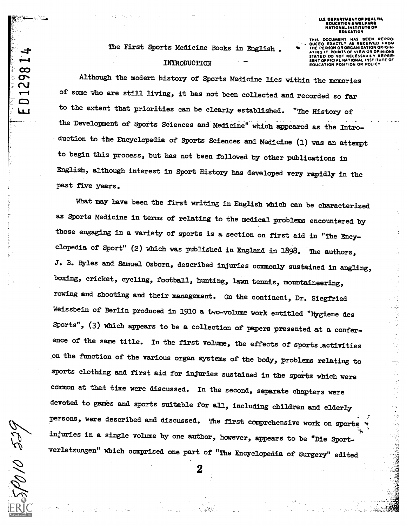OEPARTMENT OF EDUCATION & WELFAR NATIONAL INSTITUTE OF **EDUCATION** 

The First Sports Medicine Books in English .

## INTRODUCTION

THIS DOCUMENT HAS BEEN AS RECEIVED FROM **POINTS OF VIEW OR OPINIONS** ATING IT POINTS OF VIEW OR OPINIONS STATED 00 NOT NECESSARILY REPRE-SENT OFFICIAL NATIONAL INSTITUTE OF EDUCATION POSITION OR POLICY

Although the modern history of Sports Medicine lies within the memories of some who are still living, it has not been collected and recorded so far to the extent that priorities can be clearly established. "The History of the Development of Sports Sciences and Medicine" which appeared as the Introduction to the Encyclopedia of gports Sciences and Medicine (1) was an attempt to begin this process, but has not been followed by other publications in English, although interest in Sport History has developed very rapidly in the past five years.

What may have been the first writing in English which can be characterized as Sports Medicine in terms of relating to the medical problems encountered by those engaging in a variety of sports is a section on first aid in "The Encyclopedia of Sport" (2) which was published in England in 1898. The authors, J. B. Byles and Samuel Osborn, described injuries commonly sustained in angling, boxing, cricket, cycling, football, bunting, lawn tennis, mountaineering, rowing and shooting and their management. On the continent, Dr. Siegfried Weissbein of Berlin produced in 1910 a two-volume work entitled "Hygiene des Sports", (3) which appears to be a collection of papers presented at a conference of the same title. In the first volume, the effects of sports activities on the ftnction of the various organ systems of the body, problems relating to sports clothing and first aid for injuries sustained in the sports which were common at that tine were discussed. In the second, separate dhapters were devoted to games and sports suitable for all, including children and elderly persons, were described and discussed. The first comprehensive work on sports injuries in a single volume by one author, however, appears to be "Die Sportwerletzungen" whidh comprised one part of "The Encyclopedia of Surgery" edited

2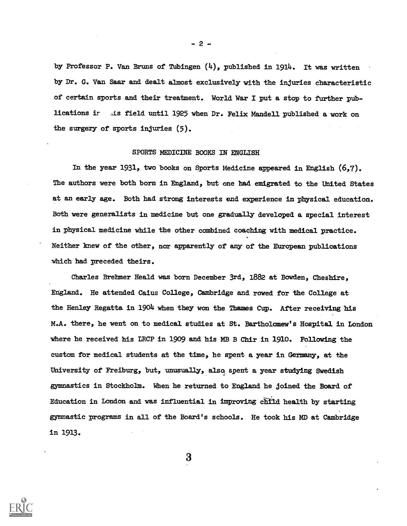by Professor P. Van Bruns of Tubingen (4), published in 1914. It was written by Dr. G. Van Saar and dealt almost exclusively with the injuries characteristic of certain sports and their treatment. World War I put a stop to further publications ir As field until 1925 when Dr. Felix Mandell published a work on the surgery of sports injuries (5).

## SPORTS MEDICINE BOORS IN ENGLISH

In the year 1931, two books on Sports Medicine appeared in English (6,7). The authors were both born in England, but one bad emigrated to the Uhited States at an early age. Both had strong interests end experience in physical education. Both were generalists in medicine but one gradually developed a special interest in physical medicine while the other combined coaching with medical practice. Neither knew of the other, nor apparently of any of the European publications which had preceded theirs.

Charles Brehmer Heald was born December 3rd, 1882 at Bowden, Cheshire, England. He attended Caius College, Cambridge and rowed for the College at the Henley Regatta in 1904 when they won the Thames Cup. After receiving his M.A. there, he went on to medical studies at St. Bartholomew's Hospital in London where he received his LRCP in 1909 and his MB B Chir in 1910. Following the custom for medical students at the time, he spent a year in Germany, at the University of Freiburg, but, unusual1y, also spent a year studying Swedish gymnastics in Stockholm. When he returned to England he joined the Board of Education in London and was influential in improving child health by starting gymnastic programs in all of the Board's schools. He took his MD at Cambridge in 1913.



- 2 -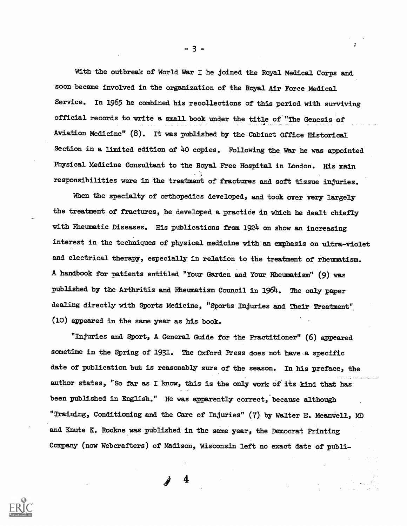With the outbreak of World War I he joined the Royal Medical Corps and soon became involved in the organization of the Royal Air Force Medical Service. In 1965 he combined his recollections of this period with surviving official records to write a small book under the title of "The Genesis of Aviation Medicine" (8). It was published by the Cabinet Office Historical Section in a limited edition of  $40$  copies. Following the War he was appointed Physical Medicine Consultant to the Royal Free Hospital in London. His nain responsibilities were in the treatment of fractures and soft tissue injuries.

When the specialty of orthopedics developed, and took over very largely the treatment of fractures, he developed a practice in which be dealt chiefly with Rheumatic Diseases. His publications from 1924 on show an increasing interest in the techniques of physical medicine with an emphasis on ultra-violet and electrical therapy, especially in relation to the treatment of rheumatism. A handbook for patients entitled "Your Garden and Your Rheumatism" (9) was published by the Arthritis and Rheumatism Council in 1964. The only paper dealing directly with Sports Medicine, "Sports Injuries and Their Treatment" (10) appeared in the same year as his book.

"Injuries and Sport, A General Guide for the Practitioner" (6) Appeared sometime in the Spring of 1931. The Oxford Press does not have a specific date of publication but is reasonably sure of the season. In his preface, the author states, "So far as I know, this is the only work of its kind that has been published in English." He was apparently correct, because although "Training, Conditioning and the Care of.Injuries" (7) by Walter E. Meanwell, MD and Knute K. Rockne was published in the same year, the Democrat Printing Company (now Webcrafters) of Madison, Wisconsin left no exact date of publi-

4



- 3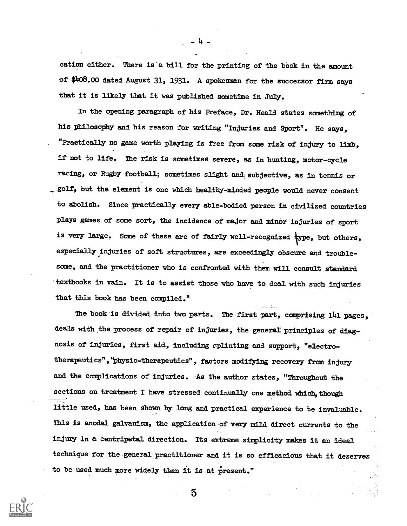cation either. There is a bill for the printing of the book in the amount of \$4o8.00 dated August 31, 1931. A spokesman for the successor firm says that it is likely that it was published sometime in July.

4

In the opening paragraph of his Preface, Dr. Heald states something of his philosophy and his reason for writing "Injuries and Sport". He says, "Practically no game worth playing is free from some risk of injury to limb, if not to life. The risk is sometimes severe, as in hunting, motor-cycle racing, or Rugby football; sometimes slight and subjective, as in tennis or \_golf, but the element is one whidh healthy-minded people would never consent to abolish. Since practically every able-bodied person in civilized countries plays games of some sort, the incidence of major and minor injuries of sport is very large. Some of these are of fairly well-recognized  $\tt{type,}$  but others, especially injuries of soft structures, are exceedingly Obscure and troublesome, and the practitioner who is confronted with them will consult standard textbooks in vain. It is to assist those who have to deal with such injuries that this book has been compiled."

The book is divided into two parts. The first part, comprising 141 pages, deals with the process of repair of injuries, the general principles of diagnosis of injuries, first aid, including zplinting and support, "electrotherapeutics",°Physio-therapeutics", factors modifying recovery fram injury and the complications of injuries. As the author states, "Throughout the sections on treatment I have stressed continually one method which, though little used, has been shown by long and practical experience to be invaluable. This is anodal galvanism, the application of very mild direct currents to the injury in a centripetal direction. Its extreme simplicity-makes it an ideal technique for the-general practitioner and it is so efficacious that it deserves to be used much more widely than it is at present."

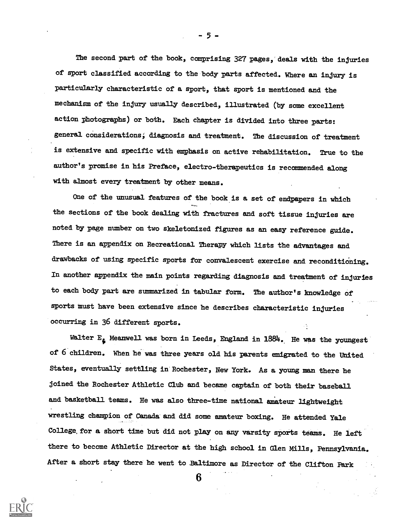The second part of the book, comprising 327 pages, deals with the injuries of sport classified according to the body parts affected. Where an injury is particularly characteristic of a sport, that sport is mentioned and the mechanism of the injury usually described, illustrated (by some excellent action photographs) or both. Each chapter is divided into three parts: general considerations; diagnosis and treatment. The discussion of treatment is extensive and specific with emphasis on active rehabilitation. True to the author's promise in his Preface, electro-therapeutics is recommended along with almost every treatment by other means.

One of the unusual features of the book is a set of endpapers in which the sections of the book dealing with fractures and soft tissue injuries are noted by page number on two skeletonized figures as an easy reference guide. There is an appendix on Recreational Therapy which lists the advantages and drawbacks of using specific sports for convalescent exercise and reconditioning. In another appendix the main points regarding diagnosis and treatment of injuries to each body part are summarized in tabular form. The author's knowledge of sports must have been extensive since he describes characteristic injuries occurring in 36 different sports.

Walter  $E_{\epsilon}$  Meanwell was born in Leeds, England in 1884. He was the youngest of 6 children. When he was three years old his parents emigrated to the United States, eventually settling in Rochester, New York. As a young man there he joined the Rochester Athletic Club and became captain of both their baseball and basketball teams. He was also three-time national amateur lightweight wrestling Champion of Canada and did sone amateur boxing. He attended Yale College,for a short time but did not play on any varsity sports teams. He left there to become Athletic Director at the high school in Glen Mills, Pennsylvania. After a short stay there he went to Baltimore as Director of the Clifton Park

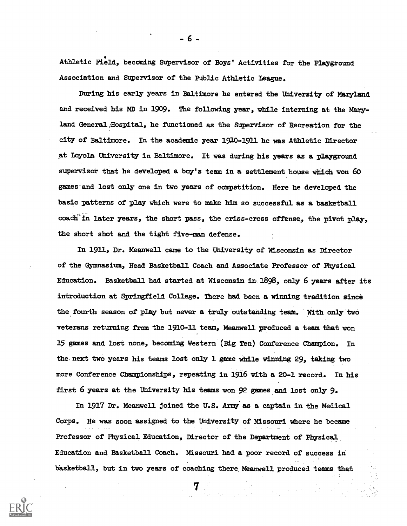4 Athletic Field, becoming Supervisor of Boys' Activities for the Playground Association and Supervisor of the Public Athletic League.

During his early years in Baltimore he entered the University of Maryland and received his MD in 1909. The following year, while interning at the Maryland General,Hospital, he functioned as the Supervisor of Recreation for the city of Baltimore. In the academic year 1920-1911 he was Athletic Director at Loyola University in Baltimore. It was during his years as a playground supervisor that he developed a boy's team in a settlement house whidh won 60 games and lost only one in two years of competition. Here he developed the basic patterns of play which were to male him so successful as a basketball coadh'in later years, the short pass, the criss-cross offense, the pivot play, the short shot and the tight five-man defense.

In 1911, Dr. Meanwell came to the University of Wisconsin as Director of the Gymnasium, Head Basketball Coach and Associate Professor of Mysical Education. Basketball had started at Wisconsin in-1698, onIy 6 years after its introduction at Springfield College. There had been a winning tradition since the fourth season of play but never a truly outstanding team. With only two veterans returning from the 1910-11 team, Meanwell produced a team that won 15 games and lost none, becoming Western (Big Ten) Conference Champion. In the.next two years his teams lost onIy 1 game while winning 29, taking two more Conference Championships, repeating in 1916 with a 20-1 record. In his first 6 years at the University his teams won 92 games and lost only  $9$ .

In 1917 Dr. Meanwell joined the U.S. Army'as a captain in the Medical Corps. He was soon assigned to the University of Missouri where he became Professor of Physical Education, Director of the Department of Physical Education and Basketball Coach. Missouri had a poor record of success in basketball, but in two years of coaching there Meanwell produced teams that

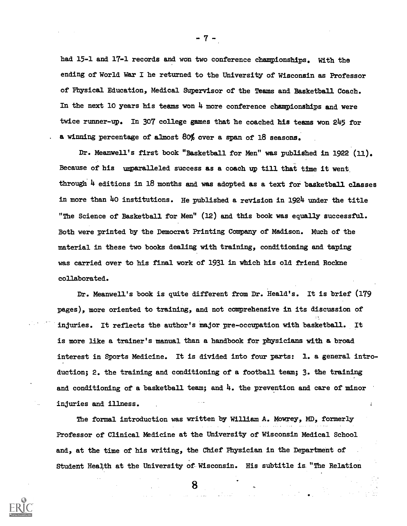had 15-1 and 17-1 records and won two conference championships. With the ending of World War I he returned to the University of Wisconsin as Professor of Physical Education, Medical Supervisor of the Teams and Basketball Coach. In the next 10 years his teams won 4 more conference championships and were twice runner-up. In 307 college games that he coached his teams won 245 for a winning percentage of almost 80% over a span of 18 seasons.

Dr. Meanwell's first book "Basketball for Men" was published in 1922 (11). Because of his umparalleled success as a coach up till that time it went through 4 editions in 18 months and was adopted as a text for basketball classes in more than 4o institutions. He published a revision in 1924 under the title "The Science of Basketball for Men" (12) and this book was equally successful. Both were printed by the Democrat Printing Company of Madison. Much of the material in these two books dealing with training, conditioning and taping was carried over to his final work of 1931 in which his old friend Rockne collaborated.

Dr. Meanwell's book is quite different from Dr. Heald's. It is brief (179 pages), more oriented to training, and not comprehensive in its discussion of injuries. It reflects the author's major pre-occupation with basketball. It is more like a trainer's manual than a handbook for physicians with a broad interest in Sports Medicine. It is divided into four parts: 1. a general introduction; 2. the training and conditioning of a football team; 3. the training and conditioning of a basketball team; and 4. the prevention and care of minor injuries and illness.

The formal introduction was written by William A. Mowrey, MD, formerly Professor of Clinical Medicine at the University of Wisconsin Medical School and, at the time of his writing, the Chief Physician in the Department of Student Health at the University of Wisconsin. His subtitle is "The Relation

8



 $\cdot$  7  $\cdot$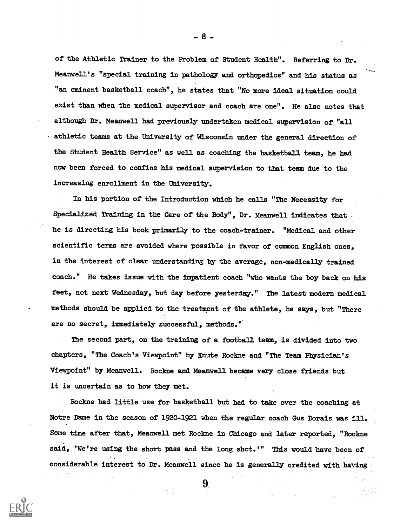of the Athletic Trainer to the Problem of Student Health". Referring to Dr. Meanwell's "special training in pathology and orthopedics" and his status as "an eminent basketball coach", he states that "No more ideal situation could exist than when the medical supervisor and coach are one". He also notes that although Dr. Meanwell had previous1y undertaken medical supervision of "all athletic teams at the University of Wisconsin under the general direction of the Student Health Service" as well as coaching the basketball team, he had now been forced to confine his medical supervision to that team due to the increasing enrollment in the Untversity.

In bis portion of the Introduction which he calls "The Necessity for Specialized Training in the Care of the Body", Dr. Meanwell indicates that . he is directing his book primarily to the coach-trainer. "Medical and other scientific terms are avoided where possible in favor of common English ones, in the interest of clear understanding by the average, non-medically trained coach." He takes issue with the impatient coach "who wants the boy back on his feet, not next Wednesday, but day before yesterday." The latest modern medical methods should be applied to the treatment of the athlete, he says, but "There are no secret, immediately successful, methods."

The second part, on the training of a football team, is divided into two Chapters, "The Coach's Viewpoint" by Knute Rockne and "The Team Physician's Viewpoint" by Meanwell. Rockne and Meanwell became very close friends but it is uncertain as to how they met.

Rockne had little use for basketball but had to take over the coaching at Notre Dame in the season of 1920-1921 when the regular coach Gus Dorais was ill. Some time after that, Meanwell met Rockne in Chicago and later reported, "Rockne said, 'We're using the short pass and the long shot.'" This would have been of considerable interest to Dr. Meanwell since he is generally credited with having

9



. 8 -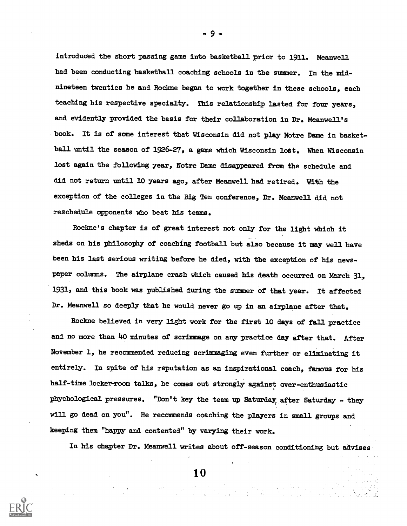introduced the short passing game into basketball prior to 1911. Meanwell had been conducting basketball coaching schools in the summer. In the midnineteen twenties he and Rodkne began to work together in these schools, each teaching his respective specialty. This relationship lasted for four years, and evidently provided the basis for their collaboration in Dr. Meanwell's . book. It is of some interest that Wisconsin did not play Notre Dame in basketball until the season of 1926-27, a game which Wisconsin lost. When Wisconsin lost again the following year, Notre Dame disappeared from the schedule and did not return until 10 years ago, after Meanwell had retired. With the exception of the colleges in the Big Ten conference, Dr. Meanwell did not reschedule opponents who beat his teams.

Rockne's chapter is of great interest not only for the light which it sheds on his philosophy of coaching football but also because it may well have been his last serious writing before he died, with the exception of his newspaper columns. The airplane crash which caused his death occurred on March 31, 1931, and this book was published during the summer of that year. It affected Dr. Meanwell so deeply that be would never go up in an airplane after that.

Rockne believed in very light work for the first 10 days of fall practice and no more than 40 minutes of scrimmage on any practice day after that. After November 1, he recommended reducing scrimmaging even further or eliminating it entirely. In spite of his reputation as an inspirational coach, famous for his half-time locker-room talks, he comes out strongly against over-enthusiastic phychological pressures. "Don't key the team up Saturday after Saturday - they will go dead on you". He recommends coaching the players in small groups and keeping them "happy and contented" by varying their work.

In his chapter Dr. Meanwell writes about off-season conditioning but advises

1 0



9 -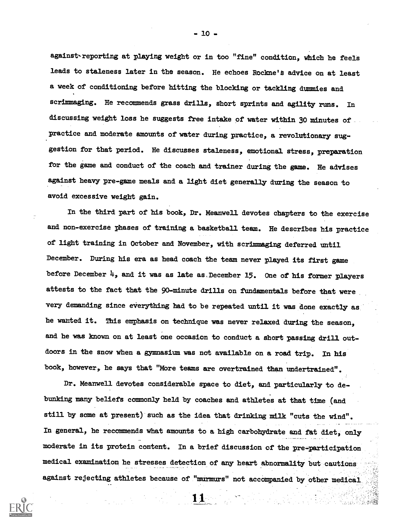against reporting at playing weight or in too "fine" condition, which he feels leads to staleness later in the season. He echoes Rockne's advice on at least a week of conditioning before bitting the blocking or tackling dummies and scrimmaging. He recommends grass drills, short sprints and agility runs. In discussing weight loss he suggests free intake of water within 30 minutes of\_ practice and moderate amounts of water during practice, a revolutionary suggestion for that period. He discusses staleness, emotional stress, preparation for the game and conduct of the coach and trainer during the game. He advises against heavy pre-game meals and a light diet generally during the season to avoid excessive weight gain.

In the third part of his book, Dr. Meanwell devotes chapters to the exercise and non-exercise phases of training a basketball team. Re describes his practice of light training in October and November, with scrimmaging deferred until December. During his era as head coach the team never played its first game before December  $\mu$ , and it was as late as, December 15. One of his former players attests to the fact that the 90-minute drills on fundamentals before that were very demanding since everything had to be repeated until it was done exactly as be wanted it. This emphasis on technique was never relaxed during the season, and he was known on at least one occasion to conduct a short passing drill outdoors in the snow when a gymnasium was not available on a road trip. In his book, however, be says that "More teams are overtrained than undertrained".

Dr. Meanwell devotes considerable space to diet, and particularly to debunking many beliefs commonly held by coaches and athletes at that time (and still by some at present) such as the idea that drinking milk "cuts the wind". In general, he recommends what amounts to a high carbohydrate and fat diet, only moderate in its protein content. In a brief discussion of the pre-participation medical examination be stresses detection of any heart abnormality but cautions against rejecting athletes because of "murmurs" not accompanied by other medical

11



- 10 -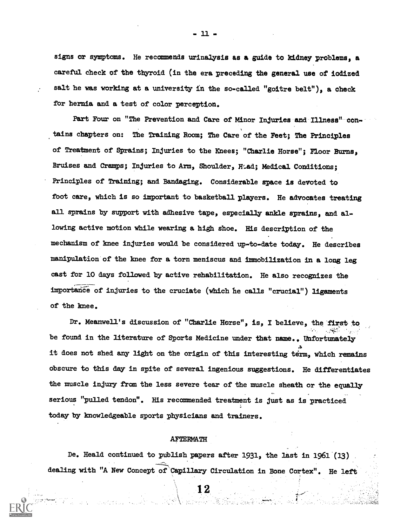signs or symptoms. He recommends urinalysis as a guide to kidney problems, a careful check of the thyroid (in the era preceding the general use of iodized salt he was working at a university in the so-called "goitre belt"), a check for hernia and a test of color perception.

Part Four on "The Prevention and Care of Minor Injuries and Illness" contains chapters on: The Training Room; The Care of the Feet; The Principles of Treatment of Sprains; Injuries to the Knees; "Charlie Horse"; Floor Burns, Bruises and Cramps; Injuries to Arm, Shoulder, Hiad; Medical Conditions; Principles of Training; and Bandaging. Considerable space is devoted to foot care, which is so important to basketball players. He advocates treating all sprains by support with adhesive tape, especially ankle sprains, and allowing active notion while wearing a high shoe. His description of the necbanism of knee injuries would be considered up-to-date today. He describes nanipulation of the knee for a torn neniscus and immobilization in a long leg east for 10 days follawed by active rehabilitation. He also recognizes the importance of injuries to the cruciate (which he calls "crucial") ligaments of the knee.

Dr. Meanwell's discussion of "Charlie Horse", is, I believe, the first to be found in the literature of Sports Medicine under that name., Unfortunately  $\mathbf{A}$ it does not shed any light on the origin of tbis interesting term, which remains obscure to this day in spite of several ingenious suggestions. He differentiates the muscle injury from the less severe tear of the muscle sheath or the equally serious "pulled tendon". His recommended treatment is just as is practiced en al control today by knowledgeable sports physicians and trainers.

## AFTERMATH

De. Heald continued to publish papers after 1931, the last in 1961 (13) dealing with "A New Concept of 'Capillary Circulation in Bone Cortex". He left

12

- Home Advised With March States

 $-11 -$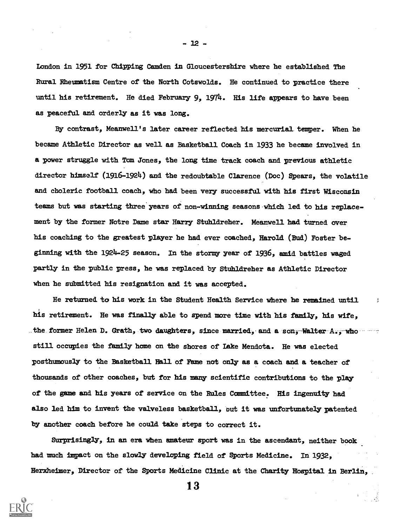London in 1951 for Chipping Camden in Gloucestershire where he established The Rural Rheumatism Centre of the North Cotswolds. He continued to practice there until his retirement. He died February 9, 1974. His life appears to have been as peaceful and orderly as it was long.

Hy contrast, Meanwell's later career reflected his mercurial\_ temper. When he became Athletic Director as well as Basketball Coach in 1933 he became involved in a power struggle with Tam Jones, the long time track coadh and previous athletic director himself (1916-1924) and the redoubtable Clarence (Doc) Spears, the volatile and choleric football coach, who had been very successful with his first Wisconsin teams but was starting three years of non-winning seasons.whidh led to bis replacement by the former Notre Dame star Harry Stuhldreher. Meanwell had turned over his coaching to the greatest player he had ever coached, Harold (Bud) Foster beginning with the 1924-25 season. In the stormy year of 1936, amid battles waged partly in the public press, he was replaced by Stuhldreher as Athletic Director when he submitted his resignation and it was accepted.

He returned to his work in the Student Health Service where be remained until his retirement. He was finally able to spend more time with his family, his wife, . the former Helen D. Grath, two daughters, since married, and a sonj-Walter  $A_{\bullet}$ , who ---still occupies the family hone on the shores of Lake Mendota. He was elected posthumously to the Basketball Hall of Fame not only as a coach and a teacher of thousands of other coaches, but for his many scientific contributions to the play of the game and his years of service on the Rules Committee. His ingenuity had also led him to invent the valveless basketball, but it was unfortunately patented by another coadh before he could take steps to correct it.

Surprisingly, in an era when amateur sport was in the ascendant, neither book had much impact on the slowly developing field of Sports Medicine. In 1932, Herxheimer, Director of the Sports Medicine Clinic at the Charity Hospital in Berlin,





- 12 -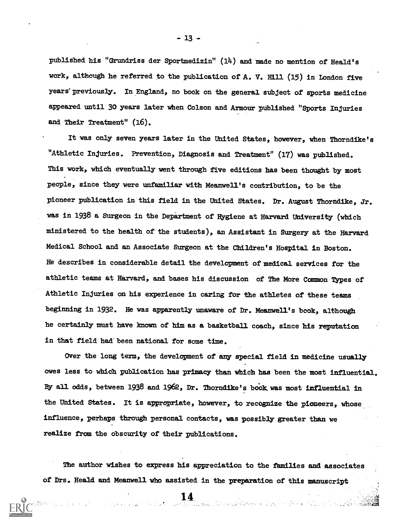published his "Grundriss der Sportmedizin" (14) and made no mention of Heald's work, although he referred to the publication of A. V. Hill (15) in London five years previously. In England, no book on the general subject of sports medicine appeared until 30 years later when Colson and Armour published "Sports Injuries and Their Treatment" (16).

It was only seven years later in the Uhited States, however, When Thorndike's "Athletic Injuries. Prevention, Diagnosis and Treatment" (17) was published. This work, whidh eventually went through five editions has been thought by most people, since they were unfamiliar with Meanwell's contribution, to be the pioneer publication in this field in the United States. Dr. August Thorndike, Jr. was in 1938 a Surgeon in the Department of Hygiene at Harvard University (which ministered to the health of the students), an Assistant in Surgery at the Harvard Medical School and an Associate Surgeon at the Children's Hospital in Boston. He describes in considerable detail the development of medical services for the athletic teams at Harvard, and bases his discussion of The More Common Types of Athletic Injuries on his experience in caring for the athletes of these teams beginning in 1932. He was apparently unaware of Dr. Meamwell's book, although he certainly must have known of him as a basketball coach, since his reputation in that field had been national for some time.

Over the long term, the development of any special field in medicine usually owes less to which publication has primacy than which has been the most influential. By all odds, between 1938 and 1962, Dr. Thorndike's book was most influential in the United States. It is appropriate, however, to recognize the pioneers, Whose influence, perhaps through personal contacts, was pcssibly greater than we realize from the obscurity of their publications.

The author wishes to express his appreciation to the families and associates of Drs. Heald and Meanwell who assisted in the preparation of this manuscript

- 13 -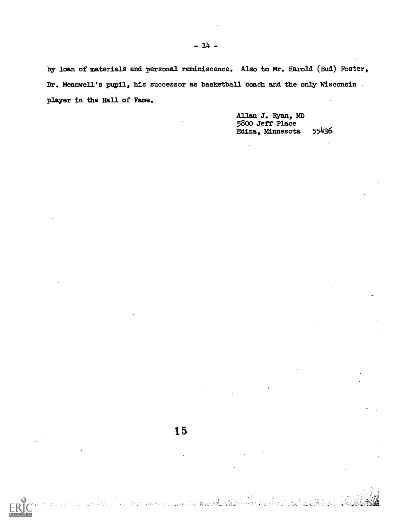by loan of materials and personal reminiscence. Also to Mr. Harold (Bud) Foster, Dr. Meanwell's pupil, his successor as basketball coach and the only Wisconsin player in the Hall of Fame.

15

Allan J. Ryan, MD 5800 Jeff Place<br>Edina, Minnesota 55436 Edina, Minnesota 55436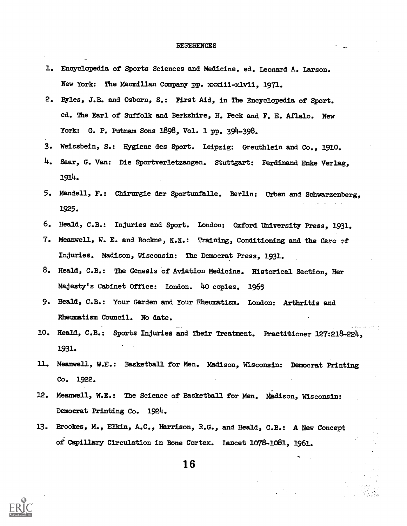## **REFERENCES**

- 1. Encyclopedia of Sports Sciences and Medicine. ed. Leonard A. Larson. New York: The Macmillan Company pp. xxxiii-xlvii, 1971.
- 2. Byles, J.B. and Osborn, S.: First Aid, in The Encyclopedia of Sport. ed. The Earl of Suffolk and Berkshire, H. Peck and F. E. Aflalo. New York: G. P. Putnam Sons 1696, Vol. 1 pp. 394-398.
- 3. Weissbein, S.: Hygiene des Sport. Leipzig: Greuthlein and Co., 1910.
- 4. Saar, G. Van: Die Sportverletzangen. Stuttgart: Ferdinand Enke Verlag, 1914.
- 5. Mandell, F.: Chirurgie der Sportunfalle. Berlin: Urban and Schwarzenberg, 1925.
- 6. Heald, C.B.: Injuries and Sport. London: Oxford University Press, 1931.
- 7. Meanwell, W. E. and Rockne, K.K.: Training, Conditioning and the Care of Injuries. Madison, Wisconsin: The Democrat Press, 1931.
- 8. Heald, C.B.: The Genesis of Aviation Medicine. Historical Section, Her Majesty's Cabinet Office: London. 40 copies. 1965
- 9. Heald, C.B.: Your Garden and Your Rheumatism. London: Arthritis and Rheumatism Council. No date.
- 10. Heald, C.B.: Sports Injuries and Their Treatment. Practitioner 127:216-224, 1931.
- 11. Meanwell, W.E.: Basketball for Men. Madison, Wisconsin: Democrat Printing Co. 1922.
- 12. Meanwell, W.E.: The Science of Basketball for Men. Madison, Wisconsin: Democrat Printing Co. 1924.
- 13. Brookes, M., Elkin, A.C., Harrison, R.G., and Heald, C.B.: A New Concept of Capillary Circulation in Bone Cortex. Lancet 1076-1061, 1961.